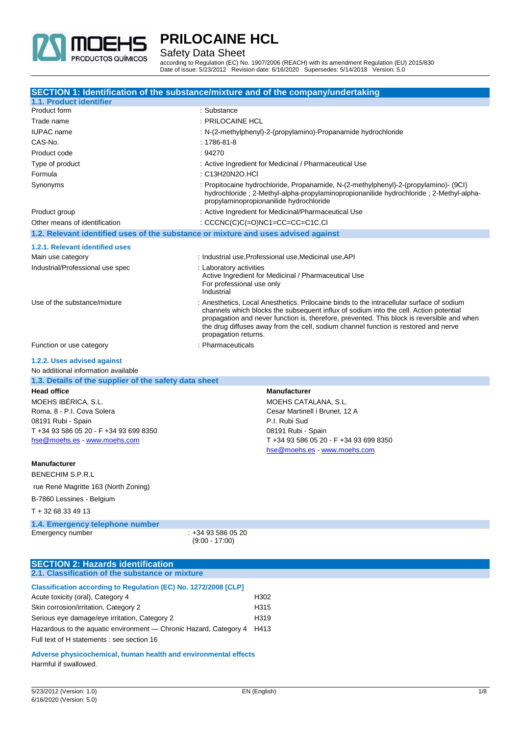

Safety Data Sheet

according to Regulation (EC) No. 1907/2006 (REACH) with its amendment Regulation (EU) 2015/830 Date of issue: 5/23/2012 Revision date: 6/16/2020 Supersedes: 5/14/2018 Version: 5.0

|                                                                                                      | SECTION 1: Identification of the substance/mixture and of the company/undertaking                                                                                                                                                                                                                                                                                                               |
|------------------------------------------------------------------------------------------------------|-------------------------------------------------------------------------------------------------------------------------------------------------------------------------------------------------------------------------------------------------------------------------------------------------------------------------------------------------------------------------------------------------|
| 1.1. Product identifier                                                                              |                                                                                                                                                                                                                                                                                                                                                                                                 |
| Product form                                                                                         | : Substance                                                                                                                                                                                                                                                                                                                                                                                     |
| Trade name                                                                                           | : PRILOCAINE HCL                                                                                                                                                                                                                                                                                                                                                                                |
| <b>IUPAC</b> name                                                                                    | : N-(2-methylphenyl)-2-(propylamino)-Propanamide hydrochloride                                                                                                                                                                                                                                                                                                                                  |
| CAS-No.                                                                                              | : 1786-81-8                                                                                                                                                                                                                                                                                                                                                                                     |
| Product code                                                                                         | : 94270                                                                                                                                                                                                                                                                                                                                                                                         |
| Type of product<br>Formula                                                                           | : Active Ingredient for Medicinal / Pharmaceutical Use<br>: C13H20N2O.HCI                                                                                                                                                                                                                                                                                                                       |
| Synonyms                                                                                             | : Propitocaine hydrochloride, Propanamide, N-(2-methylphenyl)-2-(propylamino)- (9Cl)<br>hydrochloride; 2-Methyl-alpha-propylaminopropionanilide hydrochloride; 2-Methyl-alpha-<br>propylaminopropionanilide hydrochloride                                                                                                                                                                       |
| Product group                                                                                        | : Active Ingredient for Medicinal/Pharmaceutical Use                                                                                                                                                                                                                                                                                                                                            |
| Other means of identification                                                                        | : $CCCNC(C)C(=O)NC1=CC=CC=CC1C$                                                                                                                                                                                                                                                                                                                                                                 |
| 1.2. Relevant identified uses of the substance or mixture and uses advised against                   |                                                                                                                                                                                                                                                                                                                                                                                                 |
| 1.2.1. Relevant identified uses                                                                      |                                                                                                                                                                                                                                                                                                                                                                                                 |
| Main use category                                                                                    | : Industrial use, Professional use, Medicinal use, API                                                                                                                                                                                                                                                                                                                                          |
| Industrial/Professional use spec                                                                     | : Laboratory activities                                                                                                                                                                                                                                                                                                                                                                         |
|                                                                                                      | Active Ingredient for Medicinal / Pharmaceutical Use<br>For professional use only<br>Industrial                                                                                                                                                                                                                                                                                                 |
| Use of the substance/mixture                                                                         | : Anesthetics, Local Anesthetics. Prilocaine binds to the intracellular surface of sodium<br>channels which blocks the subsequent influx of sodium into the cell. Action potential<br>propagation and never function is, therefore, prevented. This block is reversible and when<br>the drug diffuses away from the cell, sodium channel function is restored and nerve<br>propagation returns. |
| Function or use category                                                                             | : Pharmaceuticals                                                                                                                                                                                                                                                                                                                                                                               |
| 1.2.2. Uses advised against<br>No additional information available                                   |                                                                                                                                                                                                                                                                                                                                                                                                 |
| 1.3. Details of the supplier of the safety data sheet                                                |                                                                                                                                                                                                                                                                                                                                                                                                 |
| <b>Head office</b>                                                                                   | <b>Manufacturer</b>                                                                                                                                                                                                                                                                                                                                                                             |
| MOEHS IBÉRICA, S.L.                                                                                  | MOEHS CATALANA, S.L.                                                                                                                                                                                                                                                                                                                                                                            |
| Roma, 8 - P.I. Cova Solera                                                                           | Cesar Martinell i Brunet, 12 A                                                                                                                                                                                                                                                                                                                                                                  |
| 08191 Rubi - Spain                                                                                   | P.I. Rubi Sud                                                                                                                                                                                                                                                                                                                                                                                   |
| T +34 93 586 05 20 - F +34 93 699 8350                                                               | 08191 Rubi - Spain                                                                                                                                                                                                                                                                                                                                                                              |
| hse@moehs.es www.moehs.com                                                                           | T +34 93 586 05 20 - F +34 93 699 8350                                                                                                                                                                                                                                                                                                                                                          |
|                                                                                                      | hse@moehs.es www.moehs.com                                                                                                                                                                                                                                                                                                                                                                      |
| <b>Manufacturer</b><br><b>BENECHIM S.P.R.L</b>                                                       |                                                                                                                                                                                                                                                                                                                                                                                                 |
| rue René Magritte 163 (North Zoning)                                                                 |                                                                                                                                                                                                                                                                                                                                                                                                 |
| B-7860 Lessines - Belgium                                                                            |                                                                                                                                                                                                                                                                                                                                                                                                 |
| T + 32 68 33 49 13                                                                                   |                                                                                                                                                                                                                                                                                                                                                                                                 |
| 1.4. Emergency telephone number                                                                      |                                                                                                                                                                                                                                                                                                                                                                                                 |
| Emergency number                                                                                     | : +34 93 586 05 20<br>$(9:00 - 17:00)$                                                                                                                                                                                                                                                                                                                                                          |
| <b>SECTION 2: Hazards identification</b>                                                             |                                                                                                                                                                                                                                                                                                                                                                                                 |
| 2.1. Classification of the substance or mixture                                                      |                                                                                                                                                                                                                                                                                                                                                                                                 |
| Classification according to Regulation (EC) No. 1272/2008 [CLP]<br>Acute toxicity (oral), Category 4 | H302                                                                                                                                                                                                                                                                                                                                                                                            |
| Skin corrosion/irritation, Category 2                                                                | H315                                                                                                                                                                                                                                                                                                                                                                                            |
| Serious eye damage/eye irritation, Category 2                                                        | H319                                                                                                                                                                                                                                                                                                                                                                                            |
| Hazardous to the aquatic environment - Chronic Hazard, Category 4 H413                               |                                                                                                                                                                                                                                                                                                                                                                                                 |

**Adverse physicochemical, human health and environmental effects** Harmful if swallowed.

Full text of H statements : see section 16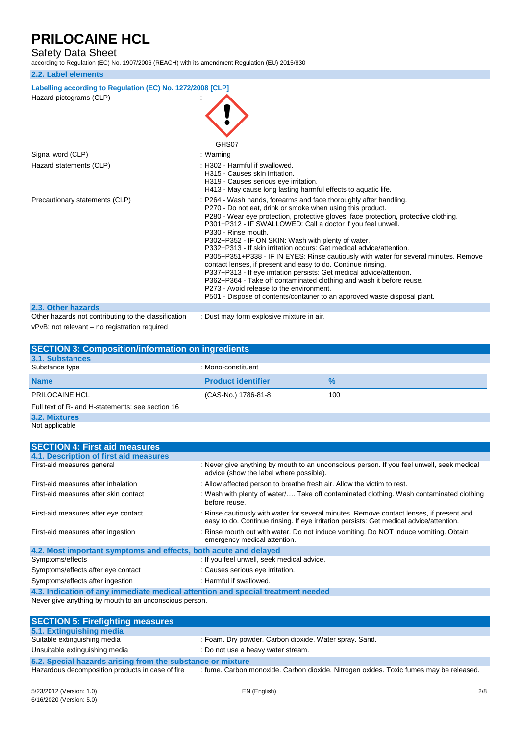### Safety Data Sheet

according to Regulation (EC) No. 1907/2006 (REACH) with its amendment Regulation (EU) 2015/830

#### **2.2. Label elements**

|  |  |  | Labelling according to Regulation (EC) No. 1272/2008 [CLP] |  |
|--|--|--|------------------------------------------------------------|--|
|  |  |  |                                                            |  |

| Labelling according to Regulation (EC) No. 1272/2008 [CLP] |                                                                                                                                                                                                                                                                                                                                                                                                                                                                                                                                                                                                                                                                                                                                                                                                                                                                               |
|------------------------------------------------------------|-------------------------------------------------------------------------------------------------------------------------------------------------------------------------------------------------------------------------------------------------------------------------------------------------------------------------------------------------------------------------------------------------------------------------------------------------------------------------------------------------------------------------------------------------------------------------------------------------------------------------------------------------------------------------------------------------------------------------------------------------------------------------------------------------------------------------------------------------------------------------------|
| Hazard pictograms (CLP)                                    | GHS07                                                                                                                                                                                                                                                                                                                                                                                                                                                                                                                                                                                                                                                                                                                                                                                                                                                                         |
| Signal word (CLP)                                          | : Warning                                                                                                                                                                                                                                                                                                                                                                                                                                                                                                                                                                                                                                                                                                                                                                                                                                                                     |
| Hazard statements (CLP)                                    | : H302 - Harmful if swallowed.<br>H315 - Causes skin irritation.<br>H319 - Causes serious eye irritation.<br>H413 - May cause long lasting harmful effects to aquatic life.                                                                                                                                                                                                                                                                                                                                                                                                                                                                                                                                                                                                                                                                                                   |
| Precautionary statements (CLP)                             | : P264 - Wash hands, forearms and face thoroughly after handling.<br>P270 - Do not eat, drink or smoke when using this product.<br>P280 - Wear eye protection, protective gloves, face protection, protective clothing.<br>P301+P312 - IF SWALLOWED: Call a doctor if you feel unwell.<br>P330 - Rinse mouth.<br>P302+P352 - IF ON SKIN: Wash with plenty of water.<br>P332+P313 - If skin irritation occurs: Get medical advice/attention.<br>P305+P351+P338 - IF IN EYES: Rinse cautiously with water for several minutes. Remove<br>contact lenses, if present and easy to do. Continue rinsing.<br>P337+P313 - If eye irritation persists: Get medical advice/attention.<br>P362+P364 - Take off contaminated clothing and wash it before reuse.<br>P273 - Avoid release to the environment.<br>P501 - Dispose of contents/container to an approved waste disposal plant. |
| 2.3. Other hazards                                         |                                                                                                                                                                                                                                                                                                                                                                                                                                                                                                                                                                                                                                                                                                                                                                                                                                                                               |
| Other hazards not contributing to the classification       | : Dust may form explosive mixture in air.                                                                                                                                                                                                                                                                                                                                                                                                                                                                                                                                                                                                                                                                                                                                                                                                                                     |

vPvB: not relevant – no registration required

**SECTION 3: Composition/information on ingredients 3.1. Substances** : Mono-constituent **Name Product identifier 1986** PRILOCAINE HCL (CAS-No.) 1786-81-8 100 Full text of R- and H-statements: see section 16

**3.2. Mixtures**

Not applicable

| <b>SECTION 4: First aid measures</b>                                            |                                                                                                                                                                                     |  |  |
|---------------------------------------------------------------------------------|-------------------------------------------------------------------------------------------------------------------------------------------------------------------------------------|--|--|
| 4.1. Description of first aid measures                                          |                                                                                                                                                                                     |  |  |
| First-aid measures general                                                      | : Never give anything by mouth to an unconscious person. If you feel unwell, seek medical<br>advice (show the label where possible).                                                |  |  |
| First-aid measures after inhalation                                             | : Allow affected person to breathe fresh air. Allow the victim to rest.                                                                                                             |  |  |
| First-aid measures after skin contact                                           | : Wash with plenty of water Take off contaminated clothing. Wash contaminated clothing<br>before reuse.                                                                             |  |  |
| First-aid measures after eye contact                                            | : Rinse cautiously with water for several minutes. Remove contact lenses, if present and<br>easy to do. Continue rinsing. If eye irritation persists: Get medical advice/attention. |  |  |
| First-aid measures after ingestion                                              | : Rinse mouth out with water. Do not induce vomiting. Do NOT induce vomiting. Obtain<br>emergency medical attention.                                                                |  |  |
| 4.2. Most important symptoms and effects, both acute and delayed                |                                                                                                                                                                                     |  |  |
| Symptoms/effects                                                                | : If you feel unwell, seek medical advice.                                                                                                                                          |  |  |
| Symptoms/effects after eye contact                                              | : Causes serious eye irritation.                                                                                                                                                    |  |  |
| Symptoms/effects after ingestion                                                | : Harmful if swallowed.                                                                                                                                                             |  |  |
| 4.3. Indication of any immediate medical attention and special treatment needed |                                                                                                                                                                                     |  |  |
| Never give anything by mouth to an unconscious person.                          |                                                                                                                                                                                     |  |  |
|                                                                                 |                                                                                                                                                                                     |  |  |
| <b>SECTION 5: Firefighting measures</b>                                         |                                                                                                                                                                                     |  |  |
| 5.1. Extinguishing media                                                        |                                                                                                                                                                                     |  |  |
| Suitable extinguishing media                                                    | : Foam. Dry powder. Carbon dioxide. Water spray. Sand.                                                                                                                              |  |  |

Unsuitable extinguishing media  $\qquad \qquad$ : Do not use a heavy water stream.

**5.2. Special hazards arising from the substance or mixture** : fume. Carbon monoxide. Carbon dioxide. Nitrogen oxides. Toxic fumes may be released.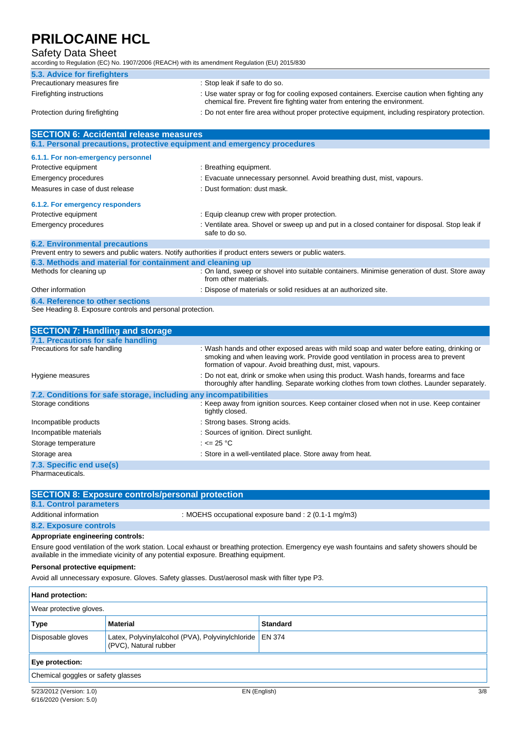### Safety Data Sheet

according to Regulation (EC) No. 1907/2006 (REACH) with its amendment Regulation (EU) 2015/830

| 5.3. Advice for firefighters                  |                                                                                                                                                                          |
|-----------------------------------------------|--------------------------------------------------------------------------------------------------------------------------------------------------------------------------|
| Precautionary measures fire                   | : Stop leak if safe to do so.                                                                                                                                            |
| Firefighting instructions                     | : Use water spray or fog for cooling exposed containers. Exercise caution when fighting any<br>chemical fire. Prevent fire fighting water from entering the environment. |
| Protection during firefighting                | : Do not enter fire area without proper protective equipment, including respiratory protection.                                                                          |
| <b>SECTION 6: Accidental release measures</b> |                                                                                                                                                                          |

| 6.1. Personal precautions, protective equipment and emergency procedures                                 |                                                                                                                       |  |  |
|----------------------------------------------------------------------------------------------------------|-----------------------------------------------------------------------------------------------------------------------|--|--|
| 6.1.1. For non-emergency personnel                                                                       |                                                                                                                       |  |  |
| Protective equipment                                                                                     | : Breathing equipment.                                                                                                |  |  |
| Emergency procedures                                                                                     | : Evacuate unnecessary personnel. Avoid breathing dust, mist, vapours.                                                |  |  |
| Measures in case of dust release                                                                         | : Dust formation: dust mask.                                                                                          |  |  |
| 6.1.2. For emergency responders                                                                          |                                                                                                                       |  |  |
| Protective equipment                                                                                     | : Equip cleanup crew with proper protection.                                                                          |  |  |
| Emergency procedures                                                                                     | : Ventilate area. Shovel or sweep up and put in a closed container for disposal. Stop leak if<br>safe to do so.       |  |  |
| <b>6.2. Environmental precautions</b>                                                                    |                                                                                                                       |  |  |
| Prevent entry to sewers and public waters. Notify authorities if product enters sewers or public waters. |                                                                                                                       |  |  |
| 6.3. Methods and material for containment and cleaning up                                                |                                                                                                                       |  |  |
| Methods for cleaning up                                                                                  | : On land, sweep or shovel into suitable containers. Minimise generation of dust. Store away<br>from other materials. |  |  |
| Other information                                                                                        | : Dispose of materials or solid residues at an authorized site.                                                       |  |  |
| 6.4. Reference to other sections                                                                         |                                                                                                                       |  |  |

See Heading 8. Exposure controls and personal protection.

| <b>SECTION 7: Handling and storage</b>                            |                                                                                                                                                                                                                                             |
|-------------------------------------------------------------------|---------------------------------------------------------------------------------------------------------------------------------------------------------------------------------------------------------------------------------------------|
| 7.1. Precautions for safe handling                                |                                                                                                                                                                                                                                             |
| Precautions for safe handling                                     | : Wash hands and other exposed areas with mild soap and water before eating, drinking or<br>smoking and when leaving work. Provide good ventilation in process area to prevent<br>formation of vapour. Avoid breathing dust, mist, vapours. |
| Hygiene measures                                                  | : Do not eat, drink or smoke when using this product. Wash hands, forearms and face<br>thoroughly after handling. Separate working clothes from town clothes. Launder separately.                                                           |
| 7.2. Conditions for safe storage, including any incompatibilities |                                                                                                                                                                                                                                             |
| Storage conditions                                                | : Keep away from ignition sources. Keep container closed when not in use. Keep container<br>tightly closed.                                                                                                                                 |
| Incompatible products                                             | : Strong bases. Strong acids.                                                                                                                                                                                                               |
| Incompatible materials                                            | : Sources of ignition. Direct sunlight.                                                                                                                                                                                                     |
| Storage temperature                                               | : <= 25 °C                                                                                                                                                                                                                                  |
| Storage area                                                      | : Store in a well-ventilated place. Store away from heat.                                                                                                                                                                                   |
| 7.3. Specific end use(s)                                          |                                                                                                                                                                                                                                             |
| Pharmaceuticals.                                                  |                                                                                                                                                                                                                                             |

| <b>SECTION 8: Exposure controls/personal protection</b>                                                                                                                                                                              |                                                      |  |
|--------------------------------------------------------------------------------------------------------------------------------------------------------------------------------------------------------------------------------------|------------------------------------------------------|--|
| 8.1. Control parameters                                                                                                                                                                                                              |                                                      |  |
| Additional information                                                                                                                                                                                                               | : MOEHS occupational exposure band : 2 (0.1-1 mg/m3) |  |
| 8.2. Exposure controls                                                                                                                                                                                                               |                                                      |  |
| Appropriate engineering controls:                                                                                                                                                                                                    |                                                      |  |
| Ensure good ventilation of the work station. Local exhaust or breathing protection. Emergency eye wash fountains and safety showers should be<br>available in the immediate vicinity of any potential exposure. Breathing equipment. |                                                      |  |
| Personal protective equipment:                                                                                                                                                                                                       |                                                      |  |
| Avoid all unnecessary exposure. Gloves. Safety glasses. Dust/aerosol mask with filter type P3.                                                                                                                                       |                                                      |  |
| Hand protection:                                                                                                                                                                                                                     |                                                      |  |

| <b>India protection.</b>           |                                                                                    |                 |  |
|------------------------------------|------------------------------------------------------------------------------------|-----------------|--|
| Wear protective gloves.            |                                                                                    |                 |  |
| <b>Type</b>                        | <b>Material</b>                                                                    | <b>Standard</b> |  |
| Disposable gloves                  | Latex, Polyvinylalcohol (PVA), Polyvinylchloride   EN 374<br>(PVC), Natural rubber |                 |  |
| Eye protection:                    |                                                                                    |                 |  |
| Chemical goggles or safety glasses |                                                                                    |                 |  |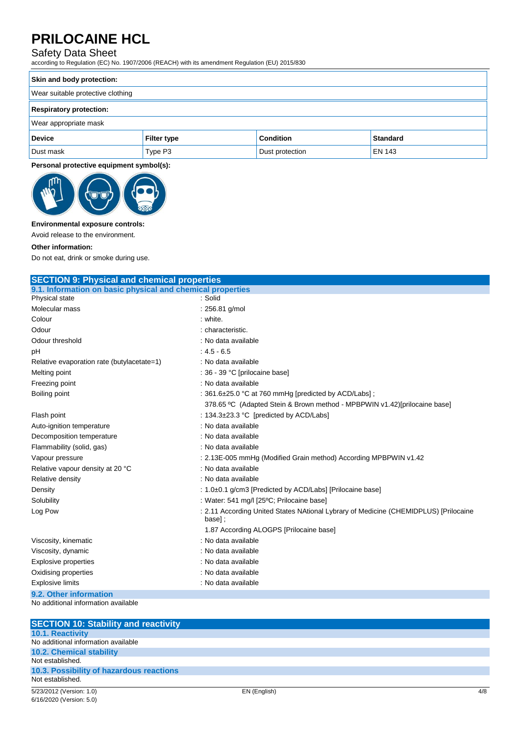### Safety Data Sheet

according to Regulation (EC) No. 1907/2006 (REACH) with its amendment Regulation (EU) 2015/830

| Skin and body protection:         |             |                  |                 |
|-----------------------------------|-------------|------------------|-----------------|
| Wear suitable protective clothing |             |                  |                 |
| <b>Respiratory protection:</b>    |             |                  |                 |
| Wear appropriate mask             |             |                  |                 |
| <b>Device</b>                     | Filter type | <b>Condition</b> | <b>Standard</b> |
| Dust mask                         | Type P3     | Dust protection  | EN 143          |

### **Personal protective equipment symbol(s):**



### **Environmental exposure controls:**

Avoid release to the environment.

#### **Other information:**

Do not eat, drink or smoke during use.

| <b>SECTION 9: Physical and chemical properties</b>         |                                                                                                |
|------------------------------------------------------------|------------------------------------------------------------------------------------------------|
| 9.1. Information on basic physical and chemical properties |                                                                                                |
| Physical state                                             | : Solid                                                                                        |
| Molecular mass                                             | : 256.81 g/mol                                                                                 |
| Colour                                                     | : white.                                                                                       |
| Odour                                                      | : characteristic.                                                                              |
| Odour threshold                                            | : No data available                                                                            |
| рH                                                         | $: 4.5 - 6.5$                                                                                  |
| Relative evaporation rate (butylacetate=1)                 | : No data available                                                                            |
| Melting point                                              | : 36 - 39 °C [prilocaine base]                                                                 |
| Freezing point                                             | : No data available                                                                            |
| Boiling point                                              | : $361.6\pm25.0$ °C at 760 mmHg [predicted by ACD/Labs];                                       |
|                                                            | 378.65 °C (Adapted Stein & Brown method - MPBPWIN v1.42)[prilocaine base]                      |
| Flash point                                                | : 134.3±23.3 °C [predicted by ACD/Labs]                                                        |
| Auto-ignition temperature                                  | : No data available                                                                            |
| Decomposition temperature                                  | : No data available                                                                            |
| Flammability (solid, gas)                                  | : No data available                                                                            |
| Vapour pressure                                            | : 2.13E-005 mmHg (Modified Grain method) According MPBPWIN v1.42                               |
| Relative vapour density at 20 °C                           | : No data available                                                                            |
| Relative density                                           | : No data available                                                                            |
| Density                                                    | : 1.0±0.1 g/cm3 [Predicted by ACD/Labs] [Prilocaine base]                                      |
| Solubility                                                 | : Water: 541 mg/l [25°C; Prilocaine base]                                                      |
| Log Pow                                                    | : 2.11 According United States NAtional Lybrary of Medicine (CHEMIDPLUS) [Prilocaine<br>base]; |
|                                                            | 1.87 According ALOGPS [Prilocaine base]                                                        |
| Viscosity, kinematic                                       | : No data available                                                                            |
| Viscosity, dynamic                                         | : No data available                                                                            |
| <b>Explosive properties</b>                                | : No data available                                                                            |
| Oxidising properties                                       | : No data available                                                                            |
| <b>Explosive limits</b>                                    | : No data available                                                                            |
| 9.2. Other information                                     |                                                                                                |
| No additional information available                        |                                                                                                |

| <b>SECTION 10: Stability and reactivity</b> |              |     |
|---------------------------------------------|--------------|-----|
| <b>10.1. Reactivity</b>                     |              |     |
| No additional information available         |              |     |
| <b>10.2. Chemical stability</b>             |              |     |
| Not established.                            |              |     |
| 10.3. Possibility of hazardous reactions    |              |     |
| Not established.                            |              |     |
| 5/23/2012 (Version: 1.0)                    | EN (English) | 4/8 |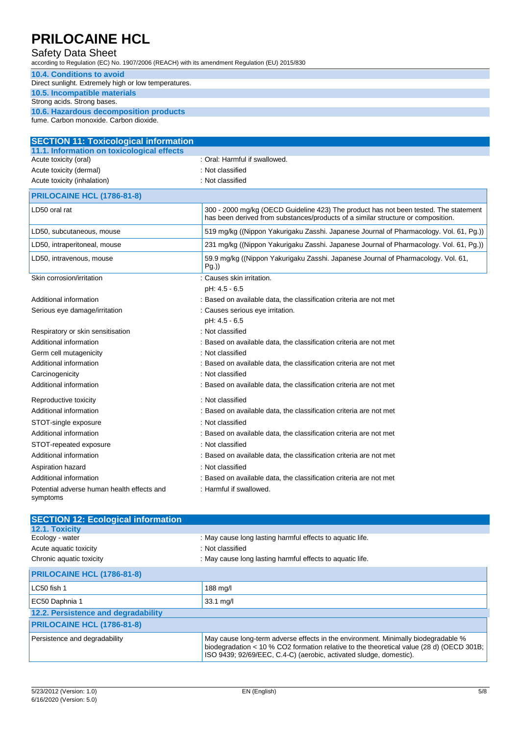# Safety Data Sheet

according to Regulation (EC) No. 1907/2006 (REACH) with its amendment Regulation (EU) 2015/830

#### **10.4. Conditions to avoid**

| Direct sunlight. Extremely high or low temperatures. |
|------------------------------------------------------|
| 10.5. Incompatible materials                         |
| Strong acids. Strong bases.                          |
| 10.6. Hazardous decomposition products               |
|                                                      |

fume. Carbon monoxide. Carbon dioxide.

| <b>SECTION 11: Toxicological information</b>           |                                                                                                                                                                          |
|--------------------------------------------------------|--------------------------------------------------------------------------------------------------------------------------------------------------------------------------|
| 11.1. Information on toxicological effects             |                                                                                                                                                                          |
| Acute toxicity (oral)                                  | : Oral: Harmful if swallowed.                                                                                                                                            |
| Acute toxicity (dermal)                                | : Not classified                                                                                                                                                         |
| Acute toxicity (inhalation)                            | : Not classified                                                                                                                                                         |
| <b>PRILOCAINE HCL (1786-81-8)</b>                      |                                                                                                                                                                          |
| LD50 oral rat                                          | 300 - 2000 mg/kg (OECD Guideline 423) The product has not been tested. The statement<br>has been derived from substances/products of a similar structure or composition. |
| LD50, subcutaneous, mouse                              | 519 mg/kg ((Nippon Yakurigaku Zasshi. Japanese Journal of Pharmacology. Vol. 61, Pg.))                                                                                   |
| LD50, intraperitoneal, mouse                           | 231 mg/kg ((Nippon Yakurigaku Zasshi. Japanese Journal of Pharmacology. Vol. 61, Pg.))                                                                                   |
| LD50, intravenous, mouse                               | 59.9 mg/kg ((Nippon Yakurigaku Zasshi. Japanese Journal of Pharmacology. Vol. 61,<br>$P(g.$ )                                                                            |
| Skin corrosion/irritation                              | : Causes skin irritation.                                                                                                                                                |
|                                                        | pH: 4.5 - 6.5                                                                                                                                                            |
| Additional information                                 | : Based on available data, the classification criteria are not met                                                                                                       |
| Serious eye damage/irritation                          | : Causes serious eye irritation.                                                                                                                                         |
|                                                        | pH: 4.5 - 6.5                                                                                                                                                            |
| Respiratory or skin sensitisation                      | : Not classified                                                                                                                                                         |
| Additional information                                 | : Based on available data, the classification criteria are not met                                                                                                       |
| Germ cell mutagenicity                                 | : Not classified                                                                                                                                                         |
| Additional information                                 | : Based on available data, the classification criteria are not met                                                                                                       |
| Carcinogenicity                                        | : Not classified                                                                                                                                                         |
| Additional information                                 | : Based on available data, the classification criteria are not met                                                                                                       |
| Reproductive toxicity                                  | : Not classified                                                                                                                                                         |
| Additional information                                 | : Based on available data, the classification criteria are not met                                                                                                       |
| STOT-single exposure                                   | : Not classified                                                                                                                                                         |
| Additional information                                 | : Based on available data, the classification criteria are not met                                                                                                       |
| STOT-repeated exposure                                 | : Not classified                                                                                                                                                         |
| Additional information                                 | : Based on available data, the classification criteria are not met                                                                                                       |
| Aspiration hazard                                      | : Not classified                                                                                                                                                         |
| Additional information                                 | : Based on available data, the classification criteria are not met                                                                                                       |
| Potential adverse human health effects and<br>symptoms | : Harmful if swallowed.                                                                                                                                                  |

| <b>SECTION 12: Ecological information</b> |                                                                                                                                                                                                                                                     |  |
|-------------------------------------------|-----------------------------------------------------------------------------------------------------------------------------------------------------------------------------------------------------------------------------------------------------|--|
| 12.1. Toxicity                            |                                                                                                                                                                                                                                                     |  |
| Ecology - water                           | : May cause long lasting harmful effects to aquatic life.                                                                                                                                                                                           |  |
| Acute aquatic toxicity                    | : Not classified                                                                                                                                                                                                                                    |  |
| Chronic aquatic toxicity                  | : May cause long lasting harmful effects to aquatic life.                                                                                                                                                                                           |  |
| <b>PRILOCAINE HCL (1786-81-8)</b>         |                                                                                                                                                                                                                                                     |  |
| LC50 fish 1                               | 188 mg/l                                                                                                                                                                                                                                            |  |
| EC50 Daphnia 1                            | 33.1 mg/l                                                                                                                                                                                                                                           |  |
| 12.2. Persistence and degradability       |                                                                                                                                                                                                                                                     |  |
| <b>PRILOCAINE HCL (1786-81-8)</b>         |                                                                                                                                                                                                                                                     |  |
| Persistence and degradability             | May cause long-term adverse effects in the environment. Minimally biodegradable %<br>biodegradation < 10 % CO2 formation relative to the theoretical value (28 d) (OECD 301B;<br>ISO 9439; 92/69/EEC, C.4-C) (aerobic, activated sludge, domestic). |  |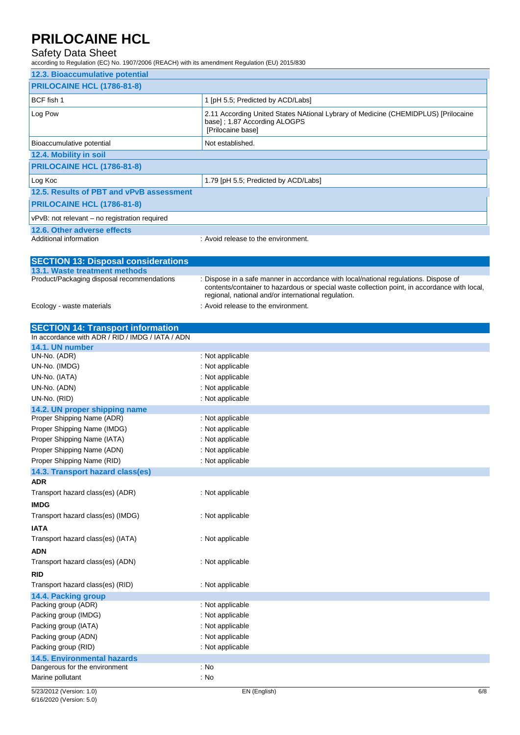# Safety Data Sheet

according to Regulation (EC) No. 1907/2006 (REACH) with its amendment Regulation (EU) 2015/830

| 12.3. Bioaccumulative potential                                                              |                                                                                                                                         |
|----------------------------------------------------------------------------------------------|-----------------------------------------------------------------------------------------------------------------------------------------|
| PRILOCAINE HCL (1786-81-8)                                                                   |                                                                                                                                         |
| BCF fish 1                                                                                   | 1 [pH 5.5; Predicted by ACD/Labs]                                                                                                       |
|                                                                                              |                                                                                                                                         |
| Log Pow                                                                                      | 2.11 According United States NAtional Lybrary of Medicine (CHEMIDPLUS) [Prilocaine<br>base]; 1.87 According ALOGPS<br>[Prilocaine base] |
| Bioaccumulative potential                                                                    | Not established.                                                                                                                        |
| 12.4. Mobility in soil                                                                       |                                                                                                                                         |
| PRILOCAINE HCL (1786-81-8)                                                                   |                                                                                                                                         |
| Log Koc                                                                                      | 1.79 [pH 5.5; Predicted by ACD/Labs]                                                                                                    |
| 12.5. Results of PBT and vPvB assessment                                                     |                                                                                                                                         |
|                                                                                              |                                                                                                                                         |
| PRILOCAINE HCL (1786-81-8)                                                                   |                                                                                                                                         |
| vPvB: not relevant - no registration required                                                |                                                                                                                                         |
| 12.6. Other adverse effects                                                                  |                                                                                                                                         |
| Additional information                                                                       | : Avoid release to the environment.                                                                                                     |
|                                                                                              |                                                                                                                                         |
| <b>SECTION 13: Disposal considerations</b><br>13.1. Waste treatment methods                  |                                                                                                                                         |
| Product/Packaging disposal recommendations                                                   | : Dispose in a safe manner in accordance with local/national regulations. Dispose of                                                    |
|                                                                                              | contents/container to hazardous or special waste collection point, in accordance with local,                                            |
|                                                                                              | regional, national and/or international regulation.                                                                                     |
| Ecology - waste materials                                                                    | : Avoid release to the environment.                                                                                                     |
|                                                                                              |                                                                                                                                         |
| <b>SECTION 14: Transport information</b><br>In accordance with ADR / RID / IMDG / IATA / ADN |                                                                                                                                         |
| 14.1. UN number                                                                              |                                                                                                                                         |
| UN-No. (ADR)                                                                                 | : Not applicable                                                                                                                        |
| UN-No. (IMDG)                                                                                | : Not applicable                                                                                                                        |
| UN-No. (IATA)                                                                                | : Not applicable                                                                                                                        |
| UN-No. (ADN)                                                                                 | : Not applicable                                                                                                                        |
| UN-No. (RID)                                                                                 | : Not applicable                                                                                                                        |
| 14.2. UN proper shipping name                                                                |                                                                                                                                         |
| Proper Shipping Name (ADR)                                                                   | : Not applicable                                                                                                                        |
| Proper Shipping Name (IMDG)                                                                  | : Not applicable                                                                                                                        |
| Proper Shipping Name (IATA)                                                                  | : Not applicable                                                                                                                        |
| Proper Shipping Name (ADN)                                                                   | : Not applicable                                                                                                                        |
| Proper Shipping Name (RID)                                                                   | : Not applicable                                                                                                                        |
| 14.3. Transport hazard class(es)                                                             |                                                                                                                                         |
| <b>ADR</b>                                                                                   | : Not applicable                                                                                                                        |
| Transport hazard class(es) (ADR)                                                             |                                                                                                                                         |
| <b>IMDG</b>                                                                                  |                                                                                                                                         |
| Transport hazard class(es) (IMDG)                                                            | : Not applicable                                                                                                                        |
| <b>IATA</b>                                                                                  |                                                                                                                                         |
| Transport hazard class(es) (IATA)                                                            | : Not applicable                                                                                                                        |
| <b>ADN</b>                                                                                   |                                                                                                                                         |
| Transport hazard class(es) (ADN)                                                             | : Not applicable                                                                                                                        |
| <b>RID</b>                                                                                   |                                                                                                                                         |
| Transport hazard class(es) (RID)                                                             | : Not applicable                                                                                                                        |
| 14.4. Packing group                                                                          |                                                                                                                                         |
| Packing group (ADR)<br>Packing group (IMDG)                                                  | : Not applicable<br>: Not applicable                                                                                                    |
| Packing group (IATA)                                                                         | : Not applicable                                                                                                                        |
| Packing group (ADN)                                                                          | : Not applicable                                                                                                                        |
| Packing group (RID)                                                                          | : Not applicable                                                                                                                        |
| <b>14.5. Environmental hazards</b>                                                           |                                                                                                                                         |
| Dangerous for the environment                                                                | : No                                                                                                                                    |
| Marine pollutant                                                                             | : No                                                                                                                                    |
|                                                                                              |                                                                                                                                         |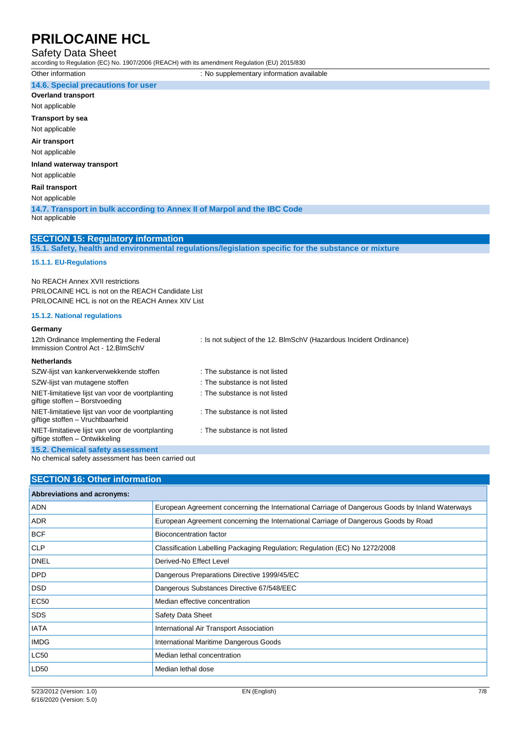### Safety Data Sheet

according to Regulation (EC) No. 1907/2006 (REACH) with its amendment Regulation (EU) 2015/830

### Other information **contained in the contact of the supplementary information available**

**14.6. Special precautions for user**

**Overland transport**

#### Not applicable

**Transport by sea** Not applicable

### **Air transport**

Not applicable

#### **Inland waterway transport**

Not applicable

**Rail transport**

### Not applicable

**14.7. Transport in bulk according to Annex II of Marpol and the IBC Code** Not applicable

### **SECTION 15: Regulatory information**

**15.1. Safety, health and environmental regulations/legislation specific for the substance or mixture**

### **15.1.1. EU-Regulations**

No REACH Annex XVII restrictions PRILOCAINE HCL is not on the REACH Candidate List PRILOCAINE HCL is not on the REACH Annex XIV List

#### **15.1.2. National regulations**

#### **Germany**

12th Ordinance Implementing the Federal Immission Control Act - 12.BImSchV : Is not subject of the 12. BlmSchV (Hazardous Incident Ordinance) **Netherlands** SZW-lijst van kankerverwekkende stoffen : The substance is not listed SZW-lijst van mutagene stoffen : The substance is not listed NIET-limitatieve lijst van voor de voortplanting giftige stoffen – Borstvoeding : The substance is not listed NIET-limitatieve lijst van voor de voortplanting giftige stoffen – Vruchtbaarheid : The substance is not listed NIET-limitatieve lijst van voor de voortplanting giftige stoffen – Ontwikkeling : The substance is not listed **15.2. Chemical safety assessment**

No chemical safety assessment has been carried out

# **SECTION 16: Other information Abbreviations and acronyms:** ADN European Agreement concerning the International Carriage of Dangerous Goods by Inland Waterways ADR European Agreement concerning the International Carriage of Dangerous Goods by Road BCF BIOCONCENTRATION BIOCONCENTRATION FACTOR CLP Classification Labelling Packaging Regulation; Regulation (EC) No 1272/2008 DNEL DERIVED-No Effect Level DPD Dangerous Preparations Directive 1999/45/EC DSD Dangerous Substances Directive 67/548/EEC EC50 Median effective concentration SDS SDS SAFETY Data Sheet IATA **International Air Transport Association** IMDG **IMDG IMDG IMDG IMDG** LC50 Median lethal concentration LD50 Median lethal dose